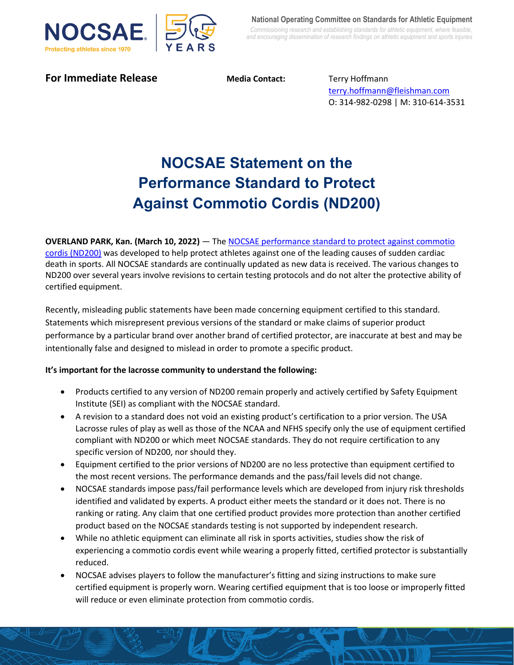

**For Immediate Release Media Contact:** Terry Hoffmann

[terry.hoffmann@fleishman.com](mailto:terry.hoffmann@fleishman.com) O: 314-982-0298 | M: 310-614-3531

## **NOCSAE Statement on the Performance Standard to Protect Against Commotio Cordis (ND200)**

**OVERLAND PARK, Kan. (March 10, 2022)** ― The [NOCSAE performance standard to protect against commotio](https://nocsae.org/standard/standard-test-method-and-performance-specification-used-in-evaluating-the-performance-characteristics-of-chest-protectors-for-commotio-cordis-2/)  [cordis \(ND200\)](https://nocsae.org/standard/standard-test-method-and-performance-specification-used-in-evaluating-the-performance-characteristics-of-chest-protectors-for-commotio-cordis-2/) was developed to help protect athletes against one of the leading causes of sudden cardiac death in sports. All NOCSAE standards are continually updated as new data is received. The various changes to ND200 over several years involve revisions to certain testing protocols and do not alter the protective ability of certified equipment.

Recently, misleading public statements have been made concerning equipment certified to this standard. Statements which misrepresent previous versions of the standard or make claims of superior product performance by a particular brand over another brand of certified protector, are inaccurate at best and may be intentionally false and designed to mislead in order to promote a specific product.

## **It's important for the lacrosse community to understand the following:**

- Products certified to any version of ND200 remain properly and actively certified by Safety Equipment Institute (SEI) as compliant with the NOCSAE standard.
- A revision to a standard does not void an existing product's certification to a prior version. The USA Lacrosse rules of play as well as those of the NCAA and NFHS specify only the use of equipment certified compliant with ND200 or which meet NOCSAE standards. They do not require certification to any specific version of ND200, nor should they.
- Equipment certified to the prior versions of ND200 are no less protective than equipment certified to the most recent versions. The performance demands and the pass/fail levels did not change.
- NOCSAE standards impose pass/fail performance levels which are developed from injury risk thresholds identified and validated by experts. A product either meets the standard or it does not. There is no ranking or rating. Any claim that one certified product provides more protection than another certified product based on the NOCSAE standards testing is not supported by independent research.
- While no athletic equipment can eliminate all risk in sports activities, studies show the risk of experiencing a commotio cordis event while wearing a properly fitted, certified protector is substantially reduced.
- NOCSAE advises players to follow the manufacturer's fitting and sizing instructions to make sure certified equipment is properly worn. Wearing certified equipment that is too loose or improperly fitted will reduce or even eliminate protection from commotio cordis.